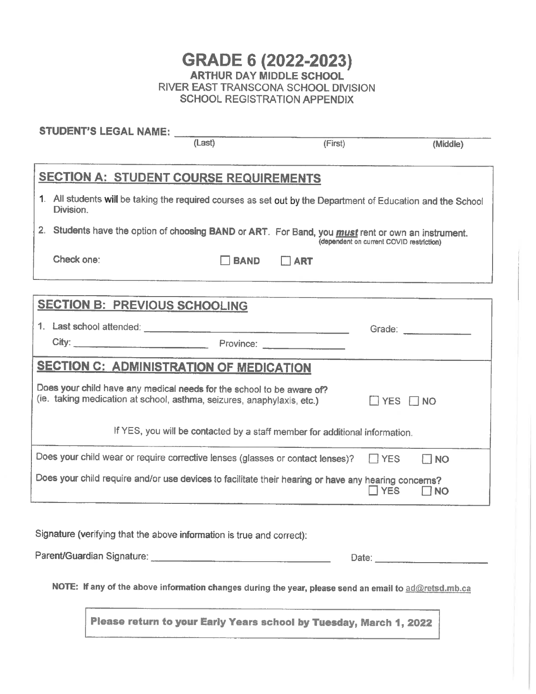### GRADE 6 (2022-2023) ARTHUR DAY MIDDLE SCHOOL RIVER EAST TRANSCONA SCHOOL DIVISION SCHOOL REGISTRATION APPENDIX

| STUDENT'S LEGAL NAME: _____                                                                           |  |                                                                                                                                                 |            |                                          |           |
|-------------------------------------------------------------------------------------------------------|--|-------------------------------------------------------------------------------------------------------------------------------------------------|------------|------------------------------------------|-----------|
|                                                                                                       |  | (Last)                                                                                                                                          | (First)    |                                          | (Middle)  |
|                                                                                                       |  |                                                                                                                                                 |            |                                          |           |
|                                                                                                       |  | <b>SECTION A: STUDENT COURSE REQUIREMENTS</b>                                                                                                   |            |                                          |           |
| Division.                                                                                             |  | 1. All students will be taking the required courses as set out by the Department of Education and the School                                    |            |                                          |           |
|                                                                                                       |  | 2. Students have the option of choosing BAND or ART. For Band, you <i>must</i> rent or own an instrument.                                       |            | (dependent on current COVID restriction) |           |
| Check one:                                                                                            |  | <b>BAND</b>                                                                                                                                     | <b>ART</b> |                                          |           |
|                                                                                                       |  |                                                                                                                                                 |            |                                          |           |
| <b>SECTION B: PREVIOUS SCHOOLING</b>                                                                  |  |                                                                                                                                                 |            |                                          |           |
|                                                                                                       |  | 1. Last school attended:                                                                                                                        |            |                                          | Grade:    |
|                                                                                                       |  | City: Province:                                                                                                                                 |            |                                          |           |
|                                                                                                       |  | <b>SECTION C: ADMINISTRATION OF MEDICATION</b>                                                                                                  |            |                                          |           |
|                                                                                                       |  | Does your child have any medical needs for the school to be aware of?<br>(ie. taking medication at school, asthma, seizures, anaphylaxis, etc.) |            | $\Box$ YES $\Box$ NO                     |           |
|                                                                                                       |  | If YES, you will be contacted by a staff member for additional information.                                                                     |            |                                          |           |
|                                                                                                       |  | Does your child wear or require corrective lenses (glasses or contact lenses)? Fig. YES                                                         |            |                                          | $\Box$ No |
|                                                                                                       |  | Does your child require and/or use devices to facilitate their hearing or have any hearing concerns?                                            |            | <b>YES</b>                               | <b>NO</b> |
|                                                                                                       |  | Signature (verifying that the above information is true and correct):                                                                           |            |                                          |           |
|                                                                                                       |  |                                                                                                                                                 |            |                                          |           |
| NOTE: If any of the above information changes during the year, please send an email to ad@retsd.mb.ca |  |                                                                                                                                                 |            |                                          |           |
|                                                                                                       |  | Please return to your Early Years school by Tuesday, March 1, 2022                                                                              |            |                                          |           |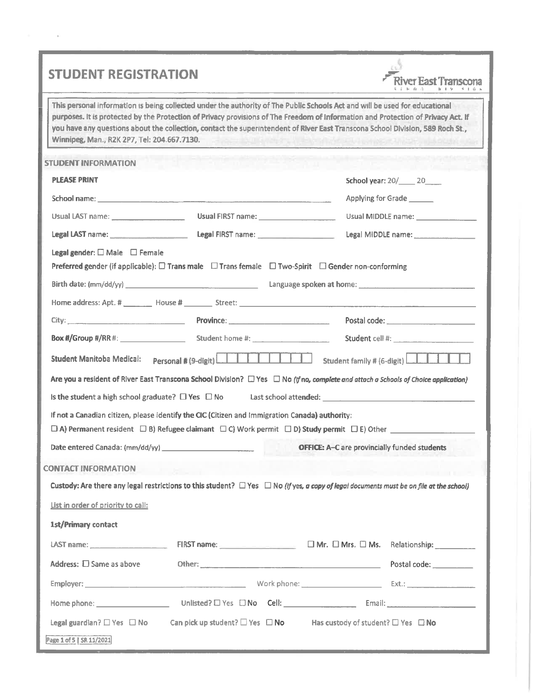$\sim$ 

STUDENT REGISTRATION River East Transcona

| Winnipeg, Man., R2K 2P7, Tel: 204.667.7130.                                                    | This personal information is being collected under the authority of The Public Schools Act and will be used for educational<br>purposes. It is protected by the Protection of Privacy provisions of The Freedom of Information and Protection of Privacy Act. If<br>you have any questions about the collection, contact the superintendent of River East Transcona School Division, 589 Roch St., |                             |
|------------------------------------------------------------------------------------------------|----------------------------------------------------------------------------------------------------------------------------------------------------------------------------------------------------------------------------------------------------------------------------------------------------------------------------------------------------------------------------------------------------|-----------------------------|
| STUDENT INFORMATION                                                                            |                                                                                                                                                                                                                                                                                                                                                                                                    |                             |
| <b>PLEASE PRINT</b>                                                                            |                                                                                                                                                                                                                                                                                                                                                                                                    | School year: 20/_____ 20___ |
|                                                                                                |                                                                                                                                                                                                                                                                                                                                                                                                    | Applying for Grade          |
|                                                                                                |                                                                                                                                                                                                                                                                                                                                                                                                    |                             |
|                                                                                                | Legal FIRST name: _____________________                                                                                                                                                                                                                                                                                                                                                            |                             |
| <b>Legal gender:</b> $\Box$ Male $\Box$ Female                                                 | Preferred gender (if applicable): $\square$ Trans male $\square$ Trans female $\square$ Two-Spirit $\square$ Gender non-conforming                                                                                                                                                                                                                                                                 |                             |
|                                                                                                |                                                                                                                                                                                                                                                                                                                                                                                                    |                             |
|                                                                                                |                                                                                                                                                                                                                                                                                                                                                                                                    |                             |
|                                                                                                |                                                                                                                                                                                                                                                                                                                                                                                                    |                             |
| <b>Student Manitoba Medical:</b>                                                               | Student family # (6-digit)                                                                                                                                                                                                                                                                                                                                                                         |                             |
|                                                                                                | Are you a resident of River East Transcona School Division? $\Box$ Yes $\Box$ No (If no, complete and attach a Schools of Choice application)                                                                                                                                                                                                                                                      |                             |
|                                                                                                | Is the student a high school graduate? $\Box$ Yes $\Box$ No last school attended: $\Box$                                                                                                                                                                                                                                                                                                           |                             |
| If not a Canadian citizen, please identify the CIC (Citizen and Immigration Canada) authority: |                                                                                                                                                                                                                                                                                                                                                                                                    |                             |
|                                                                                                | $\Box$ A) Permanent resident $\Box$ B) Refugee claimant $\Box$ C) Work permit $\Box$ D) Study permit $\Box$ E) Other $\Box$                                                                                                                                                                                                                                                                        |                             |
|                                                                                                | <b>OFFICE: A-C</b> are provincially funded students                                                                                                                                                                                                                                                                                                                                                |                             |
| CONTACT INFORMATION                                                                            |                                                                                                                                                                                                                                                                                                                                                                                                    |                             |
|                                                                                                | Custody: Are there any legal restrictions to this student? $\Box$ Yes $\Box$ No (if yes, a copy of legal documents must be on file at the school)                                                                                                                                                                                                                                                  |                             |
| List in order of priority to call:                                                             |                                                                                                                                                                                                                                                                                                                                                                                                    |                             |
| 1st/Primary contact                                                                            |                                                                                                                                                                                                                                                                                                                                                                                                    |                             |
| LAST name: ______________________                                                              | FIRST name: DMr. DMr. DMs. Relationship:                                                                                                                                                                                                                                                                                                                                                           |                             |
| Address: □ Same as above                                                                       |                                                                                                                                                                                                                                                                                                                                                                                                    | Postal code: ________       |
|                                                                                                |                                                                                                                                                                                                                                                                                                                                                                                                    |                             |
|                                                                                                |                                                                                                                                                                                                                                                                                                                                                                                                    |                             |
|                                                                                                | Legal guardian? $\Box$ Yes $\Box$ No Can pick up student? $\Box$ Yes $\Box$ No Has custody of student? $\Box$ Yes $\Box$ No                                                                                                                                                                                                                                                                        |                             |
| Page 1 of 5   SR 11/2021                                                                       |                                                                                                                                                                                                                                                                                                                                                                                                    |                             |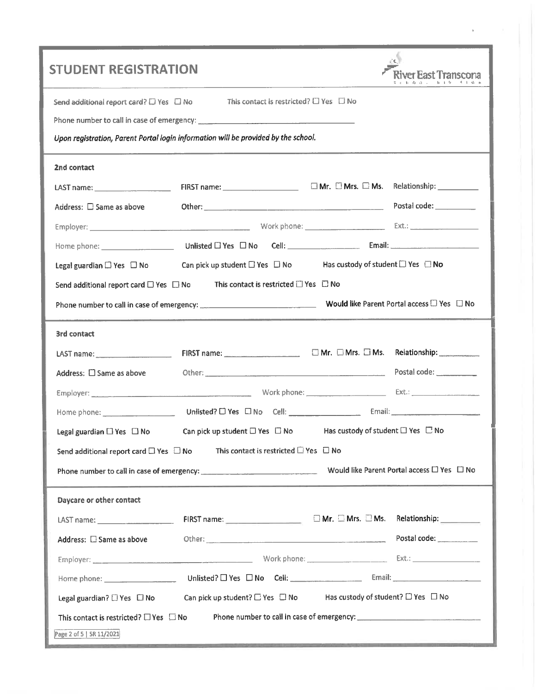| <b>STUDENT REGISTRATION</b>                             |                                                                                                                                                                                                                                | ver East Transcona        |
|---------------------------------------------------------|--------------------------------------------------------------------------------------------------------------------------------------------------------------------------------------------------------------------------------|---------------------------|
| Send additional report card? $\square$ Yes $\square$ No | This contact is restricted? $\Box$ Yes $\Box$ No                                                                                                                                                                               |                           |
|                                                         |                                                                                                                                                                                                                                |                           |
|                                                         | Upon registration, Parent Portal login information will be provided by the school.                                                                                                                                             |                           |
|                                                         |                                                                                                                                                                                                                                |                           |
| 2nd contact                                             |                                                                                                                                                                                                                                |                           |
|                                                         |                                                                                                                                                                                                                                |                           |
| Address: C Same as above                                |                                                                                                                                                                                                                                |                           |
|                                                         | Employer: Ext.: Ext.: Ext.: Ext.: Ext.: Ext.: Ext.: Ext.: Ext.: Ext.: Ext.: Ext.: Ext.: Ext.: Ext.: Ext.: Ext.: Ext.: Ext.: Ext.: Ext.: Ext.: Ext.: Ext.: Ext.: Ext.: Ext.: Ext.: Ext.: Ext.: Ext.: Ext.: Ext.: Ext.: Ext.: Ex |                           |
|                                                         |                                                                                                                                                                                                                                |                           |
| Legal guardian $\square$ Yes $\square$ No               | Can pick up student $\Box$ Yes $\Box$ No $\hspace{1cm}$ Has custody of student $\Box$ Yes $\ \Box$ No                                                                                                                          |                           |
| Send additional report card $\Box$ Yes $\Box$ No        | This contact is restricted $\Box$ Yes $\Box$ No                                                                                                                                                                                |                           |
|                                                         |                                                                                                                                                                                                                                |                           |
| 3rd contact                                             |                                                                                                                                                                                                                                |                           |
|                                                         |                                                                                                                                                                                                                                |                           |
| Address: □ Same as above                                |                                                                                                                                                                                                                                |                           |
|                                                         |                                                                                                                                                                                                                                |                           |
|                                                         |                                                                                                                                                                                                                                |                           |
| Legal guardian $\Box$ Yes $\Box$ No                     | Can pick up student $\square$ Yes $\square$ No Has custody of student $\square$ Yes $\square$ No                                                                                                                               |                           |
|                                                         | Send additional report card $\Box$ Yes $\Box$ No This contact is restricted $\Box$ Yes $\Box$ No                                                                                                                               |                           |
|                                                         |                                                                                                                                                                                                                                |                           |
| Daycare or other contact                                |                                                                                                                                                                                                                                |                           |
|                                                         |                                                                                                                                                                                                                                | Relationship: ___________ |
| Address: $\Box$ Same as above                           |                                                                                                                                                                                                                                | Postal code: _________    |
|                                                         |                                                                                                                                                                                                                                |                           |
|                                                         |                                                                                                                                                                                                                                |                           |
| Legal guardian? $\Box$ Yes $\Box$ No                    | Can pick up student? $\Box$ Yes $\Box$ No Has custody of student? $\Box$ Yes $\Box$ No                                                                                                                                         |                           |
| This contact is restricted? $\Box$ Yes $\Box$ No        |                                                                                                                                                                                                                                |                           |
| Page 2 of 5   SR 11/2021                                |                                                                                                                                                                                                                                |                           |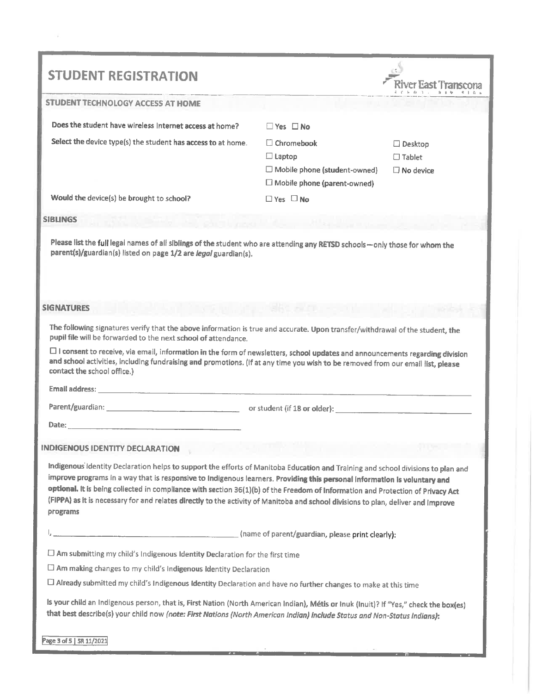| <b>STUDENT REGISTRATION</b>                                                                                                                                                                                                                                                                                                                                                                                                                                                                                                                       |                                                                                                       |                                                     |
|---------------------------------------------------------------------------------------------------------------------------------------------------------------------------------------------------------------------------------------------------------------------------------------------------------------------------------------------------------------------------------------------------------------------------------------------------------------------------------------------------------------------------------------------------|-------------------------------------------------------------------------------------------------------|-----------------------------------------------------|
| STUDENT TECHNOLOGY ACCESS AT HOME                                                                                                                                                                                                                                                                                                                                                                                                                                                                                                                 |                                                                                                       |                                                     |
| Does the student have wireless Internet access at home?                                                                                                                                                                                                                                                                                                                                                                                                                                                                                           | $\Box$ Yes $\Box$ No                                                                                  |                                                     |
| Select the device type(s) the student has access to at home.                                                                                                                                                                                                                                                                                                                                                                                                                                                                                      | $\Box$ Chromebook<br>$\Box$ Laptop<br>□ Mobile phone (student-owned)<br>□ Mobile phone (parent-owned) | $\Box$ Desktop<br>$\Box$ Tablet<br>$\Box$ No device |
| Would the device(s) be brought to school?                                                                                                                                                                                                                                                                                                                                                                                                                                                                                                         | $\Box$ Yes $\Box$ No                                                                                  |                                                     |
| <b>SIBLINGS</b>                                                                                                                                                                                                                                                                                                                                                                                                                                                                                                                                   |                                                                                                       |                                                     |
| Please list the full legal names of all siblings of the student who are attending any RETSD schools-only those for whom the<br>parent(s)/guardian(s) listed on page 1/2 are legal guardian(s).                                                                                                                                                                                                                                                                                                                                                    |                                                                                                       |                                                     |
| <b>SIGNATURES</b>                                                                                                                                                                                                                                                                                                                                                                                                                                                                                                                                 |                                                                                                       |                                                     |
| The following signatures verify that the above information is true and accurate. Upon transfer/withdrawal of the student, the<br>pupil file will be forwarded to the next school of attendance.                                                                                                                                                                                                                                                                                                                                                   |                                                                                                       |                                                     |
| □ I consent to receive, via email, information in the form of newsletters, school updates and announcements regarding division<br>and school activities, including fundraising and promotions. (If at any time you wish to be removed from our email list, please<br>contact the school office.)                                                                                                                                                                                                                                                  |                                                                                                       |                                                     |
|                                                                                                                                                                                                                                                                                                                                                                                                                                                                                                                                                   |                                                                                                       |                                                     |
|                                                                                                                                                                                                                                                                                                                                                                                                                                                                                                                                                   |                                                                                                       |                                                     |
|                                                                                                                                                                                                                                                                                                                                                                                                                                                                                                                                                   |                                                                                                       |                                                     |
| <b>INDIGENOUS IDENTITY DECLARATION</b>                                                                                                                                                                                                                                                                                                                                                                                                                                                                                                            |                                                                                                       |                                                     |
| Indigenous Identity Declaration helps to support the efforts of Manitoba Education and Training and school divisions to plan and<br>improve programs in a way that is responsive to Indigenous learners. Providing this personal information is voluntary and<br>optional. It is being collected in compliance with section 36(1)(b) of the Freedom of Information and Protection of Privacy Act<br>(FIPPA) as it is necessary for and relates directly to the activity of Manitoba and school divisions to plan, deliver and improve<br>programs |                                                                                                       |                                                     |
|                                                                                                                                                                                                                                                                                                                                                                                                                                                                                                                                                   | (name of parent/guardian, please print clearly):                                                      |                                                     |
| $\square$ Am submitting my child's Indigenous Identity Declaration for the first time                                                                                                                                                                                                                                                                                                                                                                                                                                                             |                                                                                                       |                                                     |
| $\Box$ Am making changes to my child's indigenous identity Declaration                                                                                                                                                                                                                                                                                                                                                                                                                                                                            |                                                                                                       |                                                     |
| □ Already submitted my child's Indigenous Identity Declaration and have no further changes to make at this time                                                                                                                                                                                                                                                                                                                                                                                                                                   |                                                                                                       |                                                     |
| Is your child an Indigenous person, that is, First Nation (North American Indian), Métis or Inuk (Inuit)? If "Yes," check the box(es)<br>that best describe(s) your child now (note: First Nations (North American Indian) include Status and Non-Status Indians):                                                                                                                                                                                                                                                                                |                                                                                                       |                                                     |
| Page 3 of 5   SR 11/2021                                                                                                                                                                                                                                                                                                                                                                                                                                                                                                                          |                                                                                                       |                                                     |

 $\overline{\nu}$  .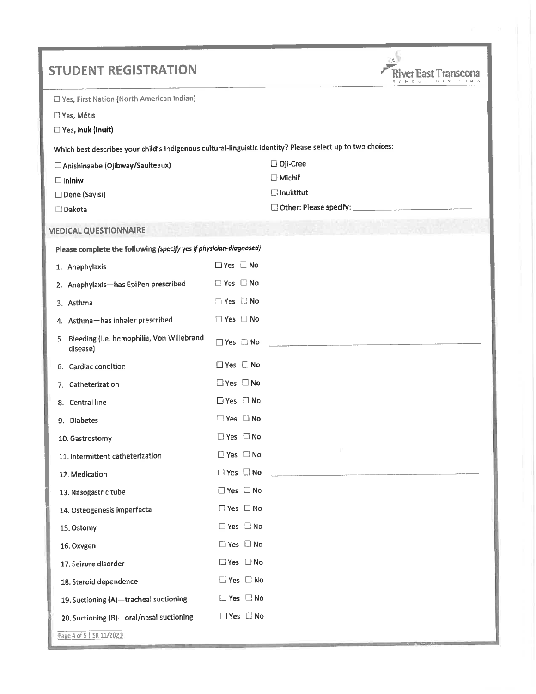| <b>STUDENT REGISTRATION</b>                                                                                 |                            | - (€<br>River East Trai |
|-------------------------------------------------------------------------------------------------------------|----------------------------|-------------------------|
| Ves, First Nation (North American Indian)<br>$\Box$ Yes, Métis<br>Yes, Inuk (Inuit)                         |                            |                         |
| Which best describes your child's Indigenous cultural-linguistic identity? Please select up to two choices: |                            |                         |
| □ Anishinaabe (Ojibway/Saulteaux)                                                                           |                            | □ Oji-Cree              |
| $\Box$ Ininiw                                                                                               |                            | □ Michif                |
| $\Box$ Dene (Sayisi)                                                                                        |                            | <b>Elnuktitut</b>       |
| Dakota                                                                                                      |                            |                         |
| <b>MEDICAL QUESTIONNAIRE</b>                                                                                |                            |                         |
| Please complete the following (specify yes if physician-diagnosed)                                          |                            |                         |
| 1. Anaphylaxis                                                                                              | $\Box$ Yes $\Box$ No       |                         |
| 2. Anaphylaxis-has EpiPen prescribed                                                                        | $\Box$ Yes $\Box$ No       |                         |
| 3. Asthma                                                                                                   | $\Box$ Yes $\Box$ No       |                         |
| 4. Asthma-has inhaler prescribed                                                                            | $\Box$ Yes $\Box$ No       |                         |
| 5. Bleeding (i.e. hemophilia, Von Willebrand<br>disease)                                                    | $\Box$ Yes $\Box$ No       |                         |
| 6. Cardiac condition                                                                                        | $\Box$ Yes $\Box$ No       |                         |
| 7. Catheterization                                                                                          | $\Box$ Yes $\Box$ No       |                         |
| 8. Central line                                                                                             | $\Box$ Yes $\Box$ No       |                         |
| 9. Diabetes                                                                                                 | $\square$ Yes $\square$ No |                         |
| 10. Gastrostomy                                                                                             | $\Box$ Yes $\Box$ No       |                         |
| 11. Intermittent catheterization                                                                            | $\square$ Yes $\square$ No |                         |
| 12. Medication                                                                                              | $\Box$ Yes $\Box$ No       |                         |
| 13. Nasogastric tube                                                                                        | $\Box$ Yes $\Box$ No       |                         |
| 14. Osteogenesis imperfecta                                                                                 | $\Box$ Yes $\Box$ No       |                         |
| 15. Ostomy                                                                                                  | $\Box$ Yes $\Box$ No       |                         |
| 16. Oxygen                                                                                                  | $\Box$ Yes $\Box$ No       |                         |
| 17. Seizure disorder                                                                                        | $\square$ Yes $\square$ No |                         |
| 18. Steroid dependence                                                                                      | $\Box$ Yes $\Box$ No       |                         |
| 19. Suctioning (A)-tracheal suctioning                                                                      | $\Box$ Yes $\Box$ No       |                         |
| 20. Suctioning (B)-oral/nasal suctioning                                                                    | $\square$ Yes $\square$ No |                         |
| Page 4 of 5   SR 11/2021                                                                                    |                            |                         |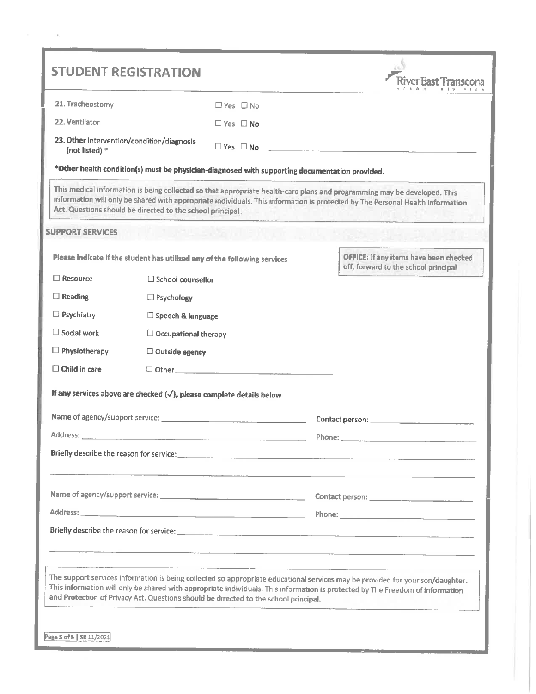|                                                              | <b>STUDENT REGISTRATION</b>                                                                                                                                                                                                                                                                                              |                                                                                       |  |
|--------------------------------------------------------------|--------------------------------------------------------------------------------------------------------------------------------------------------------------------------------------------------------------------------------------------------------------------------------------------------------------------------|---------------------------------------------------------------------------------------|--|
| 21. Tracheostomy                                             | $\Box$ Yes $\Box$ No                                                                                                                                                                                                                                                                                                     |                                                                                       |  |
| 22. Ventilator                                               | $\Box$ Yes $\Box$ No                                                                                                                                                                                                                                                                                                     |                                                                                       |  |
| 23. Other intervention/condition/diagnosis<br>(not listed) * | $\Box$ Yes $\Box$ No                                                                                                                                                                                                                                                                                                     |                                                                                       |  |
|                                                              | *Other health condition(s) must be physician-diagnosed with supporting documentation provided.                                                                                                                                                                                                                           |                                                                                       |  |
|                                                              | This medical information is being collected so that appropriate health-care plans and programming may be developed. This<br>information will only be shared with appropriate individuals. This information is protected by The Personal Health Information<br>Act. Questions should be directed to the school principal. |                                                                                       |  |
| <b>SUPPORT SERVICES</b>                                      |                                                                                                                                                                                                                                                                                                                          |                                                                                       |  |
|                                                              | Please indicate if the student has utilized any of the following services                                                                                                                                                                                                                                                | <b>OFFICE: If any items have been checked</b><br>off, forward to the school principal |  |
| $\Box$ Resource                                              | $\Box$ School counsellor                                                                                                                                                                                                                                                                                                 |                                                                                       |  |
| $\Box$ Reading                                               | $\Box$ Psychology                                                                                                                                                                                                                                                                                                        |                                                                                       |  |
| $\Box$ Psychiatry                                            | $\Box$ Speech & language                                                                                                                                                                                                                                                                                                 |                                                                                       |  |
| $\Box$ Social work                                           | $\Box$ Occupational therapy                                                                                                                                                                                                                                                                                              |                                                                                       |  |
| $\Box$ Physiotherapy                                         | $\Box$ Outside agency                                                                                                                                                                                                                                                                                                    |                                                                                       |  |
| $\Box$ Child in care                                         | $\Box$ Other<br><u> 1980 - Jan Stein Stein, mars an deir Stein Stein Stein Stein Stein Stein Stein Stein Stein Stein Stein Stein</u>                                                                                                                                                                                     |                                                                                       |  |
|                                                              | If any services above are checked $(\checkmark)$ , please complete details below                                                                                                                                                                                                                                         |                                                                                       |  |
|                                                              |                                                                                                                                                                                                                                                                                                                          | <b>Contact person:</b>                                                                |  |
| Address:                                                     |                                                                                                                                                                                                                                                                                                                          | Phone:                                                                                |  |
|                                                              |                                                                                                                                                                                                                                                                                                                          |                                                                                       |  |
|                                                              |                                                                                                                                                                                                                                                                                                                          |                                                                                       |  |
|                                                              |                                                                                                                                                                                                                                                                                                                          |                                                                                       |  |
|                                                              |                                                                                                                                                                                                                                                                                                                          |                                                                                       |  |
|                                                              |                                                                                                                                                                                                                                                                                                                          |                                                                                       |  |
|                                                              |                                                                                                                                                                                                                                                                                                                          |                                                                                       |  |
|                                                              |                                                                                                                                                                                                                                                                                                                          |                                                                                       |  |

 $\mathcal{H}^{\text{max}}_{\text{max}}$  and  $\mathcal{H}^{\text{max}}_{\text{max}}$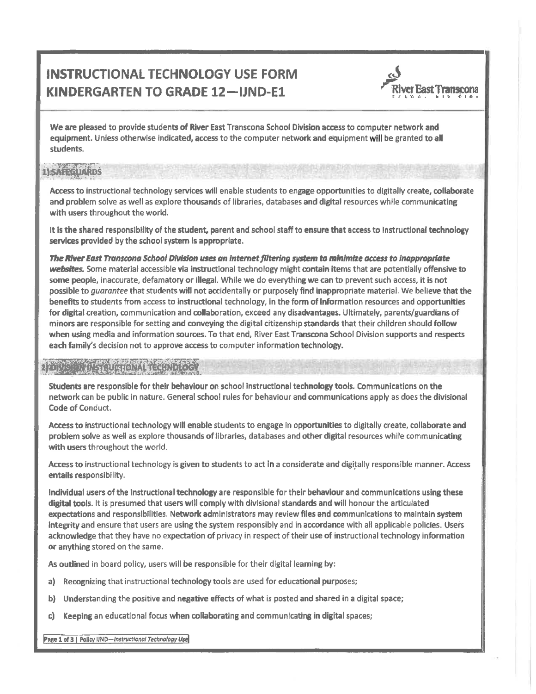## INSTRUCTIONAL TECHNOLOGY USE FORM KINDERGARTEN TO GRADE 12-UND-E1 River East Transcona



We are pleased to provide students of River East Transcona School Division access to computer network and equipment. Unless otherwise indicated, access to the computer network and equipment will be granted to all students.

### 1) SAFEGUARDS

Access to instructional technology services will enable students to engage opportunities to digitally create, collaborate and problem solve as well as explore thousands of libraries, databases and digital resources while communicating with users throughout the world.

It is the shared responsibility of the student, parent and school staff to ensure that access to instructional technology services provided by the school system is appropriate.

The River East Transcona School Division uses an Internet filtering system to minimize access to Inappropriate websites. Some material accessible via instructional technology might contain items that are potentially offensive to some people, inaccurate, defamatory or illegal. While we do everything we can to prevent such access, it is not possible to guarantee that students will not accidentally or purposely find inappropriate material. We believe that the benefits to students from access to instructional technology, in the form of information resources and opportunities for digital creation, communication and collaboration, exceed any disadvantages. Ultimately, parents/guardians of minors are responsible for setting and conveying the digital citizenship standards that their children should follow when using media and information sources. To that end. River East Transcona School Division supports and respects each family's decision not to approve access to computer information technology.

#### 2101 **ALISOUGION LEGACIONES**

Students are responsible for their behaviour on school instructional technology tools. Communications on the network can be public in nature. General school rules for behaviour and communications apply as does the divisional Code of Conduct.

Access to instructional technology will enable students to engage in opportunities to digitally create, collaborate and problem solve as well as explore thousands of libraries, databases and other digital resources while communicating with users throughout the world.

Access to instructional technology is given to students to act in a considerate and digitally responsible manner. Access entails responsibility.

Individual users of the instructional technology are responsible for their behaviour and communications using these digital tools. It is presumed that users will comply with divisional standards and will honour the articulated expectations and responsibilities. Network administrators may review files and communications to maintain system integrity and ensure that users are using the system responsibly and in accordance with all applicable policies. Users acknowledge that they have no expectation of privacy in respect of their use of instructional technology information or anything stored on the same.

As outlined in board policy, users will be responsible for their digital learning by:

- a) Recognizing that instructional technology tools are used for educational purposes;
- b) Understanding the positive and negative effects of what is posted and shared in a digital space;
- c) Keeping an educational focus when collaborating and communicating in digital spaces;

Page 1 of 3 | Policy UND-Instructional Technology Use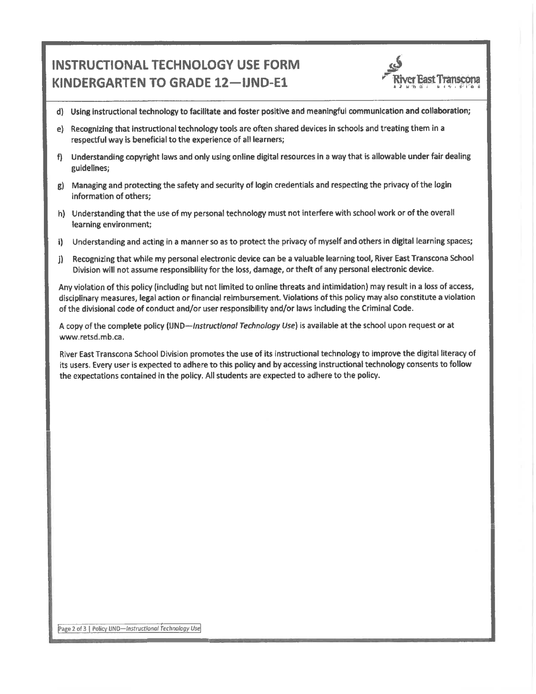# INSTRUCTIONAL TECHNOLOGY USE FORM KINDERGARTEN TO GRADE 12-JJND-E1



- d) Using instructional technology to facilitate and foster positive and meaningful communication and collaboration;
- e) Recognizing that instructional technology tools are often shared devices in schools and treating them in a respectful way is beneficial to the experience of all learners;
- f) Understanding copyright laws and only using online digital resources in a way that is allowable under fair dealing guidelines;
- g) Managing and protecting the safety and security of login credentials and respecting the privacy of the login information of others;
- h) Understanding that the use of my personal technology must not interfere with school work or of the overall learning environment;
- i) Understanding and acting in a manner so as to protect the privacy of myself and others in digital learning spaces;
- j) Recognizing that while my personal electronic device can be a valuable learning tool. River East Transcona School Division will not assume responsibility for the loss, damage, or theft of any personal electronic device.

Any violation of this policy (including but not limited to online threats and intimidation) may result in a loss of access, disciplinary measures, legal action or financial reimbursement. Violations of this policy may also constitute a violation of the divisional code of conduct and/or user responsibility and/or laws including the Criminal Code.

A copy of the complete policy (IJND—*Instructional Technology Use*) is available at the school upon request or at www. retsd. mb. ca.

River East Transcona School Division promotes the use of its instructional technology to improve the digital literacy of its users. Every user is expected to adhere to this policy and by accessing instructional technology consents to follow the expectations contained in the policy. All students are expected to adhere to the policy.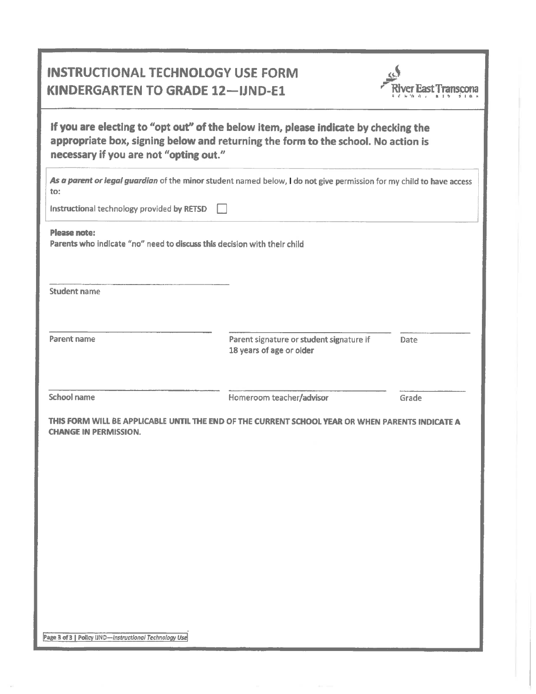### INSTRUCTIONAL TECHNOLOGY USE FORM KINDERGARTEN TO GRADE 12-UND-E1



If you are electing to "opt out" of the below item, please indicate by checking the appropriate box, signing below and returning the form to the school. No action is necessary if you are not "opting out."

As a parent or legal guardian of the minor student named below, I do not give permission for my child to have access to:

Instructional technology provided by RETSD  $\Box$ 

Please note;

Parents who indicate "no" need to discuss this decision with their child

Student name

Parent name<br>
Parent signature or student signature if 18 years of age or older

Date

School name **Homeroom teacher/advisor** Grade

THIS FORM WILL BE APPLICABLE UNTIL THE END OF THE CURRENT SCHOOL YEAR OR WHEN PARENTS INDICATE A CHANGE IN PERMISSION.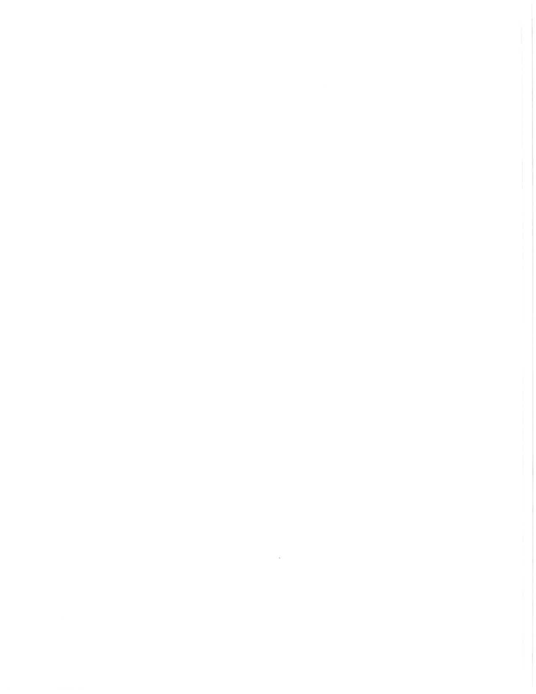$\tilde{\alpha}$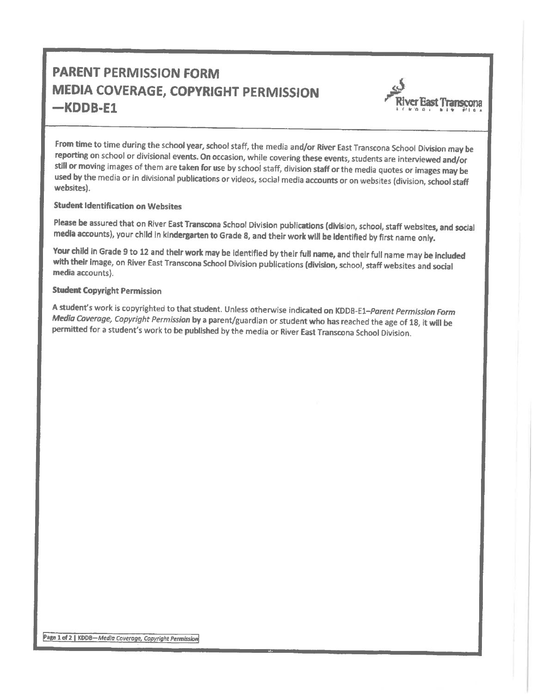# PARENT PERMISSION FORM MEDIA COVERAGE, COPYRIGHT PERMISSION -KDDB-E1 RhwEastTranscona



I

From time to time during the school year, school staff, the media and/or River East Transcona School Division may be reporting on school or divisional events. On occasion, while covering these events, students are interviewed and/or still or moving images of them are taken for use by school staff, division staff or the media quotes or images may be used by the media or in divisional publications or videos, social media accounts or on websites (division, school staff websites).

### Student Identification on Websites

Please be assured that on River East Transcona School Division publications (dhrision, school, staff websites, and social media accounts), your child in kindergarten to Grade 8, and their work will be identified by first name only.

Your child in Grade 9 to 12 and their work may be identified by their full name, and their full name may be included with their image, on River East Transcona School Division publications (division, school, staff websites and social media accounts).

### Student Copyright Permission

I

A student's work is copyrighted to that student. Unless otherwise indicated on KDDB-E1-Parent Permission Form Media Coverage, Copyright Permission by a parent/guardian or student who has reached the age of 18, it will be permitted for a student's work to be published by the media or River East Transcona School Division.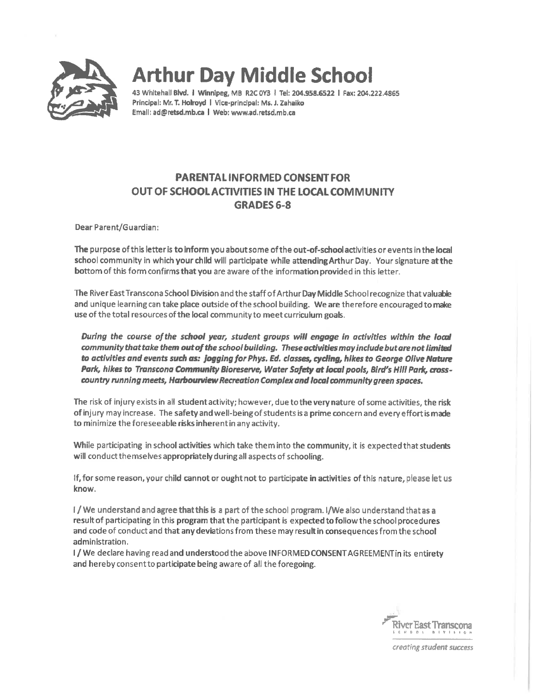

43 Whitehall Bh/d. I Winnipeg, MB R2COY3 I Tel; 204.958.6522 I Fax; 204.222.4865 Principal; Mr. T. Holroyd I Vice-principal; Ms. J. Zahaiko Email: ad@retsd.mb.ca | Web: www.ad.retsd.mb.ca

### PARENTAL INFORMED CONSENT FOR OUT OF SCHOOLACTIVITIES IN THE LOCAL COMMUNITY GRADES 6-8

Dear Parent/Guardian:

The purpose of this letter is to inform you about some of the out-of-school activities or events in the local school community in which your child will participate while attending Arthur Day. Your signature at the bottom of this form confirms that you are aware of the information provided in this letter.

The River East Transcona School Division and the staff of Arthur Day Middle School recognize that valuable and unique learning can take place outside of the school building. We are therefore encouraged to make use of the total resources of the local community to meet curriculum goals.

During the course of the school year, student groups will engage in activities within the load community that take them out of the school building. These activities may include but are not limited to activities and events such as: fogging for Phys. Ed. classes, cycling, hikes to George Olive Nature Park, hikes to Transcona Community Bioreserve, Water Safety at local pools. Bird's Hill Paik cross country running meets, Harbourview Recreation Complex and local community green spaces.

The risk of injury exists in all student activity; however, due to the very nature of some activities, the risk of injury may increase. The safety and well-being of students is a prime concern and every effort is made to minimize the foreseeable risks inherentin any activity.

While participating in school activities which take them into the community, it is expected that students will conduct themselves appropriately during all aspects of schooling.

If. for some reason, your child cannot or ought not to participate in activities of this nature, please let us know.

1/We understand and agree thatthis is a part of the school program. 1/We also understand that as a result of participating in this program that the participant is expected to follow the school procedures and code of conduct and that any deviations from these may result in consequences from the school administration.

I/We declare having read and understood the above INFORMED CONSENT AGREEMENT in its entirety and hereby consentto participate being aware of all the foregoing.

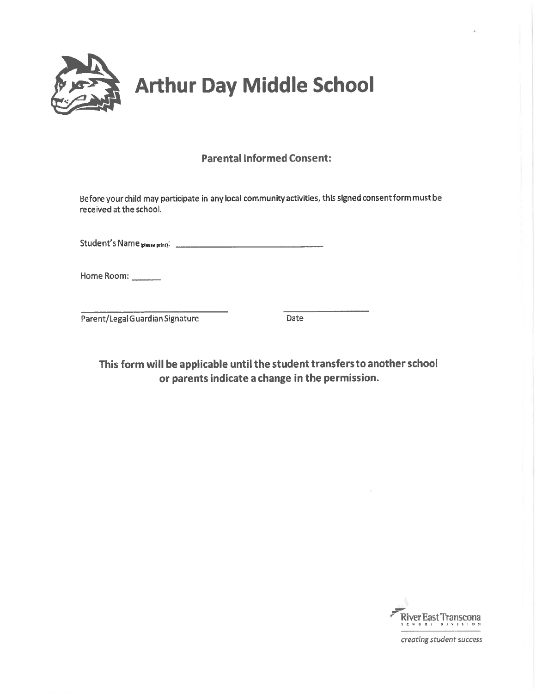

### Parental Informed Consent:

Before your child may participate in any local community activities, this signed consent form must be received at the school.

Student's Name (please print): \_\_

Home Room:

Parent/Legal Guardian Signature Date

This form will be applicable until the student transfers to another school or parents indicate a change in the permission.

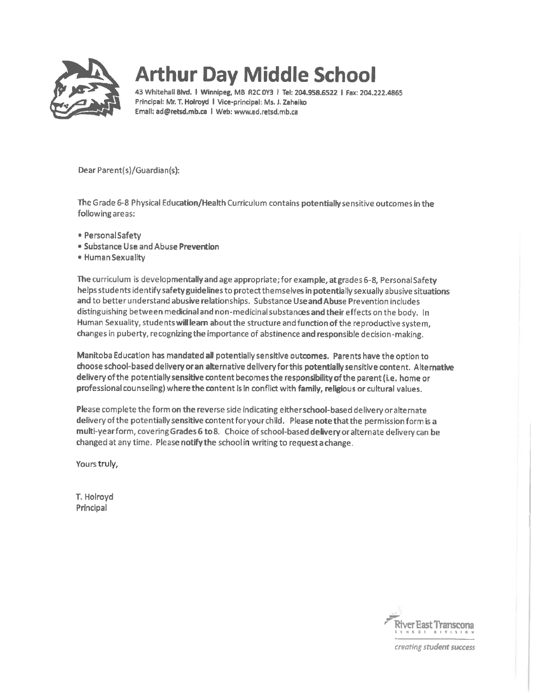

43 Whitehall Blvd. I Winnipeg, MB R2COY3 I Tel: 204.958.6522 I Fax: 204.222.4865 Principal: Mr. T. Holroyd I Vice-principal; Ms. J. Zahaiko Email: ad@retsd.mb.ca I Web: www.ad, retsd. mb.ca

Dear Parent(s)/Guardian(s):

The Grade 6-8 Physical Education/Health Curriculum contains potentially sensitive outcomes in the followingareas:

- . PersonalSafety
- . Substance Use and Abuse Prevention
- . Human Sexuality

The curriculum is developmentallyand age appropriate; for example, at grades 6-8, Personal Safety helps students identify safety guidelines to protect themselves in potentially sexually abusive situations and to better understand abusive relationships. Substance Useand Abuse Prevention includes distinguishing between medicinal and non-medicinal substances and their effects on the body. In Human Sexuality, students will learn about the structure and function of the reproductive system, changes in puberty, recognizing the importance of abstinence and responsible decision-making.

Manitoba Education has mandated all potentially sensitive outcomes. Parents have the option to choose school-based delivery oran alternative deliveryforthis potentially sensitive content, Alternative delivery of the potentially sensitive content becomes the responsibility of the parent (i.e. home or professional counseling) where the content is in conflict with family, religious or cultural values.

Please complete the form on the reverse side indicating eitherschool-based delivery oraltemate delivery of the potentially sensitive content for your child. Please note that the permission form is a multi-year form, covering Grades 6 to 8. Choice of school-based delivery or alternate delivery can be changed at any time. Please notifythe school in writing to request a change.

Yours truly,

T. Holroyd Principal

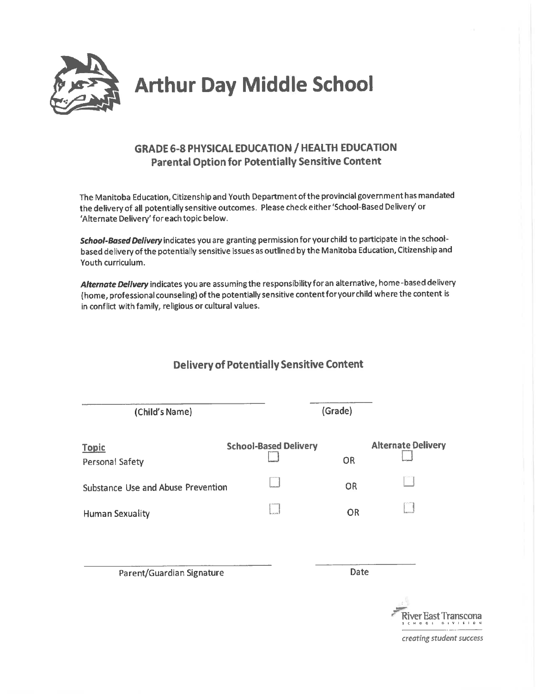

### GRADE 6-8 PHYSICAL EDUCATION / HEALTH EDUCATION Parental Option for Potentially Sensitive Content

The Manitoba Education, Citizenship and Youth Department of the provincial government has mandated the delivery of all potentially sensitive outcomes. Please check either'School-Based Delivery' or 'Alternate Delivery' foreach topic below.

School-Based Delivery indicates you are granting permission for your child to participate in the schoolbased delivery of the potentially sensitive issues as outlined by the Manitoba Education, Citizenship and Youth curriculum.

Alternate Delivery indicates you are assuming the responsibility for an alternative, home-based delivery (home, professional counseling) of the potentially sensitive contentforyourchild where the content is in conflict with family, religious or cultural values.

Delivery of Potentially Sensitive Content

| (Child's Name)                         |                              | (Grade)   |                           |
|----------------------------------------|------------------------------|-----------|---------------------------|
| <b>Topic</b><br><b>Personal Safety</b> | <b>School-Based Delivery</b> | OR        | <b>Alternate Delivery</b> |
| Substance Use and Abuse Prevention     |                              | <b>OR</b> |                           |
| <b>Human Sexuality</b>                 |                              | OR        |                           |
| Parent/Guardian Signature              |                              | Date      |                           |
|                                        |                              |           |                           |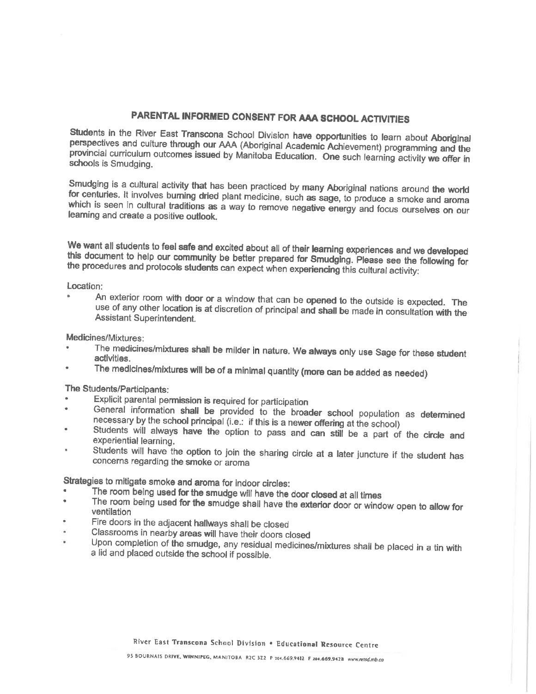### PARENTAL INFORMED CONSENT FOR AAA SCHOOL ACTIVITIES

Students in the River East Transcona School Division have opportunities to learn about Aboriginal perspectives and culture through our AAA (Aboriginal Academic Achievement) programming and the provincial curriculum outcomes issued by Manitoba Education. One such learning activity we offer in schools is Smudging.

Smudging is a cultural activity that has been practiced by many Aboriginal nations around the world for centuries. It involves burning dried plant medicine, such as sage, to produce a smoke and aroma which is seen in cultural traditions as a way to remove negative energy and focus ourselves on our learning and create a positive outlook.

We want all students to feel safe and excited about all of their learning experiences and we developed this document to help our community be better prepared for Smudging. Please see the following for the procedures and protocols students can expect when experiencing this cultural activity:

Location:

An exterior room with door or a window that can be opened to the outside is expected. The use of any other location is at discretion of principal and shall be made in consultation with the **Assistant Superintendent.** 

Medicines/Mixtures:

- The medicines/mixtures shall be milder in nature. We always only use Sage for these student activities.
- The medicines/mixtures will be of a minimal quantity (more can be added as needed)

The Students/Participants:

- Explicit parental permission is required for participation
- General information shall be provided to the broader school population as determined  $\ddot{\phantom{0}}$ necessary by the school principal (i.e.: if this is a newer offering at the school)
- Students will always have the option to pass and can still be a part of the circle and experiential learning.
- Students will have the option to join the sharing circle at a later juncture if the student has concerns regarding the smoke or aroma

Strategies to mitigate smoke and aroma for indoor circles:

- The room being used for the smudge will have the door closed at all times
- The room being used for the smudge shall have the exterior door or window open to allow for ventilation
- Fire doors in the adjacent hallways shall be closed
- Classrooms in nearby areas will have their doors closed
- Upon completion of the smudge, any residual medicines/mixtures shall be placed in a tin with a lid and placed outside the school if possible.

River East Transcona School Division . Educational Resource Centre